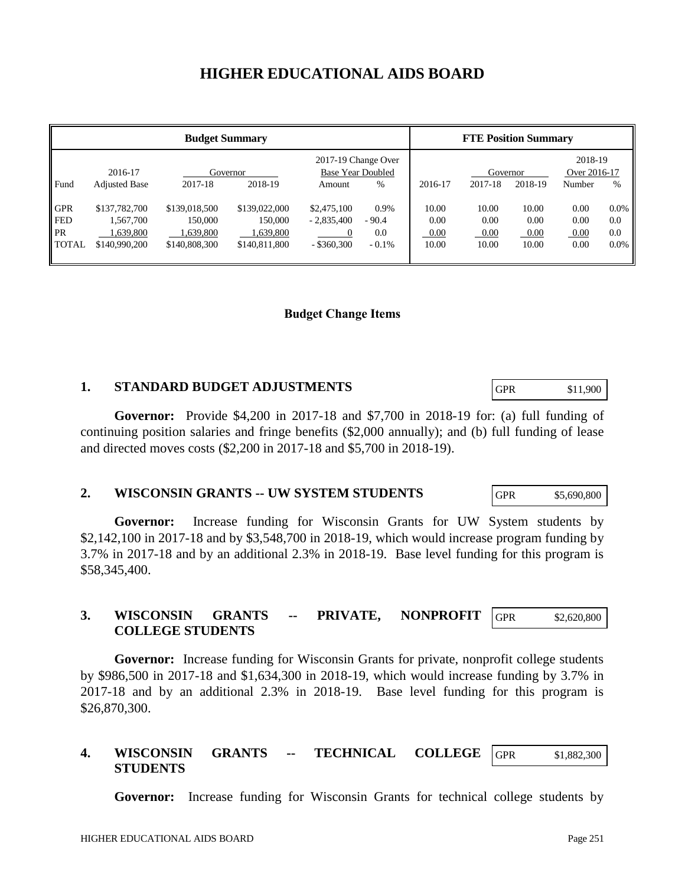# **HIGHER EDUCATIONAL AIDS BOARD**

| <b>Budget Summary</b>                                 |                                                          |                                                        |                                                        |                                              |                                    | <b>FTE Position Summary</b>    |                                |                                |                                   |                                  |
|-------------------------------------------------------|----------------------------------------------------------|--------------------------------------------------------|--------------------------------------------------------|----------------------------------------------|------------------------------------|--------------------------------|--------------------------------|--------------------------------|-----------------------------------|----------------------------------|
| Fund                                                  | 2016-17<br><b>Adjusted Base</b>                          | Governor<br>2017-18                                    | 2018-19                                                | 2017-19 Change Over<br>Amount                | <b>Base Year Doubled</b><br>%      | 2016-17                        | Governor<br>2017-18            | 2018-19                        | 2018-19<br>Over 2016-17<br>Number | %                                |
| <b>GPR</b><br><b>FED</b><br><b>PR</b><br><b>TOTAL</b> | \$137,782,700<br>1.567.700<br>1.639.800<br>\$140,990,200 | \$139,018,500<br>150,000<br>1,639,800<br>\$140,808,300 | \$139,022,000<br>150,000<br>1,639,800<br>\$140,811,800 | \$2,475,100<br>$-2,835,400$<br>$-$ \$360,300 | 0.9%<br>$-90.4$<br>0.0<br>$-0.1\%$ | 10.00<br>0.00<br>0.00<br>10.00 | 10.00<br>0.00<br>0.00<br>10.00 | 10.00<br>0.00<br>0.00<br>10.00 | 0.00<br>0.00<br>0.00<br>0.00      | $0.0\%$<br>0.0<br>0.0<br>$0.0\%$ |

# **Budget Change Items**

# **1. STANDARD BUDGET ADJUSTMENTS**

**Governor:** Provide \$4,200 in 2017-18 and \$7,700 in 2018-19 for: (a) full funding of continuing position salaries and fringe benefits (\$2,000 annually); and (b) full funding of lease and directed moves costs (\$2,200 in 2017-18 and \$5,700 in 2018-19).

# **2. WISCONSIN GRANTS -- UW SYSTEM STUDENTS**

**Governor:** Increase funding for Wisconsin Grants for UW System students by \$2,142,100 in 2017-18 and by \$3,548,700 in 2018-19, which would increase program funding by 3.7% in 2017-18 and by an additional 2.3% in 2018-19. Base level funding for this program is \$58,345,400.

#### **3. WISCONSIN GRANTS -- PRIVATE, NONPROFIT COLLEGE STUDENTS** GPR \$2,620,800

**Governor:** Increase funding for Wisconsin Grants for private, nonprofit college students by \$986,500 in 2017-18 and \$1,634,300 in 2018-19, which would increase funding by 3.7% in 2017-18 and by an additional 2.3% in 2018-19. Base level funding for this program is \$26,870,300.

#### **4. WISCONSIN GRANTS -- TECHNICAL COLLEGE STUDENTS** GPR \$1,882,300

**Governor:** Increase funding for Wisconsin Grants for technical college students by

GPR \$5,690,800

GPR \$11,900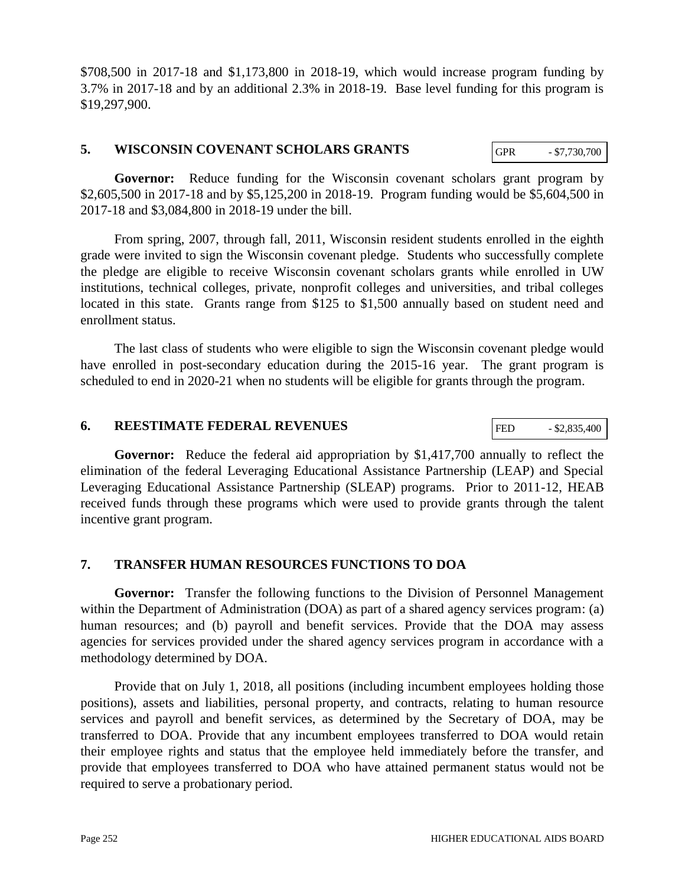\$708,500 in 2017-18 and \$1,173,800 in 2018-19, which would increase program funding by 3.7% in 2017-18 and by an additional 2.3% in 2018-19. Base level funding for this program is \$19,297,900.

# **5. WISCONSIN COVENANT SCHOLARS GRANTS**

Governor: Reduce funding for the Wisconsin covenant scholars grant program by \$2,605,500 in 2017-18 and by \$5,125,200 in 2018-19. Program funding would be \$5,604,500 in 2017-18 and \$3,084,800 in 2018-19 under the bill.

From spring, 2007, through fall, 2011, Wisconsin resident students enrolled in the eighth grade were invited to sign the Wisconsin covenant pledge. Students who successfully complete the pledge are eligible to receive Wisconsin covenant scholars grants while enrolled in UW institutions, technical colleges, private, nonprofit colleges and universities, and tribal colleges located in this state. Grants range from \$125 to \$1,500 annually based on student need and enrollment status.

The last class of students who were eligible to sign the Wisconsin covenant pledge would have enrolled in post-secondary education during the 2015-16 year. The grant program is scheduled to end in 2020-21 when no students will be eligible for grants through the program.

# **6. REESTIMATE FEDERAL REVENUES**

**Governor:** Reduce the federal aid appropriation by \$1,417,700 annually to reflect the elimination of the federal Leveraging Educational Assistance Partnership (LEAP) and Special Leveraging Educational Assistance Partnership (SLEAP) programs. Prior to 2011-12, HEAB received funds through these programs which were used to provide grants through the talent incentive grant program.

# **7. TRANSFER HUMAN RESOURCES FUNCTIONS TO DOA**

**Governor:** Transfer the following functions to the Division of Personnel Management within the Department of Administration (DOA) as part of a shared agency services program: (a) human resources; and (b) payroll and benefit services. Provide that the DOA may assess agencies for services provided under the shared agency services program in accordance with a methodology determined by DOA.

Provide that on July 1, 2018, all positions (including incumbent employees holding those positions), assets and liabilities, personal property, and contracts, relating to human resource services and payroll and benefit services, as determined by the Secretary of DOA, may be transferred to DOA. Provide that any incumbent employees transferred to DOA would retain their employee rights and status that the employee held immediately before the transfer, and provide that employees transferred to DOA who have attained permanent status would not be required to serve a probationary period.

FED  $-$  \$2,835,400

GPR - \$7,730,700